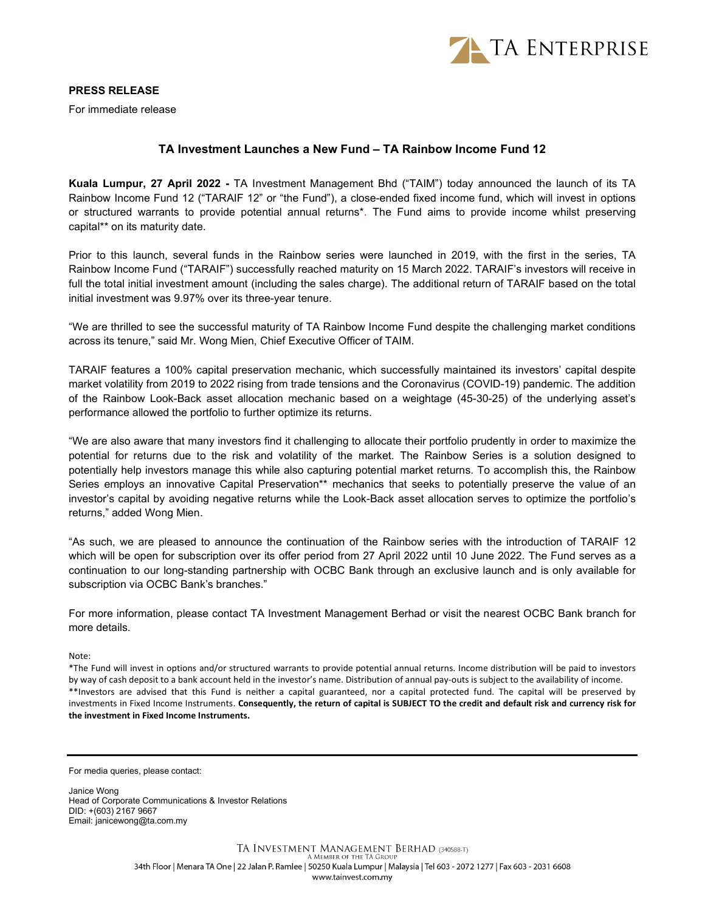

PRESS RELEASE

For immediate release

## TA Investment Launches a New Fund – TA Rainbow Income Fund 12

Kuala Lumpur, 27 April 2022 - TA Investment Management Bhd ("TAIM") today announced the launch of its TA Rainbow Income Fund 12 ("TARAIF 12" or "the Fund"), a close-ended fixed income fund, which will invest in options or structured warrants to provide potential annual returns\*. The Fund aims to provide income whilst preserving capital\*\* on its maturity date.

Prior to this launch, several funds in the Rainbow series were launched in 2019, with the first in the series, TA Rainbow Income Fund ("TARAIF") successfully reached maturity on 15 March 2022. TARAIF's investors will receive in full the total initial investment amount (including the sales charge). The additional return of TARAIF based on the total initial investment was 9.97% over its three-year tenure.

"We are thrilled to see the successful maturity of TA Rainbow Income Fund despite the challenging market conditions across its tenure," said Mr. Wong Mien, Chief Executive Officer of TAIM.

TARAIF features a 100% capital preservation mechanic, which successfully maintained its investors' capital despite market volatility from 2019 to 2022 rising from trade tensions and the Coronavirus (COVID-19) pandemic. The addition of the Rainbow Look-Back asset allocation mechanic based on a weightage (45-30-25) of the underlying asset's performance allowed the portfolio to further optimize its returns.

"We are also aware that many investors find it challenging to allocate their portfolio prudently in order to maximize the potential for returns due to the risk and volatility of the market. The Rainbow Series is a solution designed to potentially help investors manage this while also capturing potential market returns. To accomplish this, the Rainbow Series employs an innovative Capital Preservation\*\* mechanics that seeks to potentially preserve the value of an investor's capital by avoiding negative returns while the Look-Back asset allocation serves to optimize the portfolio's returns," added Wong Mien.

"As such, we are pleased to announce the continuation of the Rainbow series with the introduction of TARAIF 12 which will be open for subscription over its offer period from 27 April 2022 until 10 June 2022. The Fund serves as a continuation to our long-standing partnership with OCBC Bank through an exclusive launch and is only available for subscription via OCBC Bank's branches."

For more information, please contact TA Investment Management Berhad or visit the nearest OCBC Bank branch for more details.

Note:

\*The Fund will invest in options and/or structured warrants to provide potential annual returns. Income distribution will be paid to investors by way of cash deposit to a bank account held in the investor's name. Distribution of annual pay-outs is subject to the availability of income. \*\*Investors are advised that this Fund is neither a capital guaranteed, nor a capital protected fund. The capital will be preserved by investments in Fixed Income Instruments. Consequently, the return of capital is SUBJECT TO the credit and default risk and currency risk for the investment in Fixed Income Instruments.

For media queries, please contact:

Janice Wong Head of Corporate Communications & Investor Relations DID: +(603) 2167 9667 Email: janicewong@ta.com.my